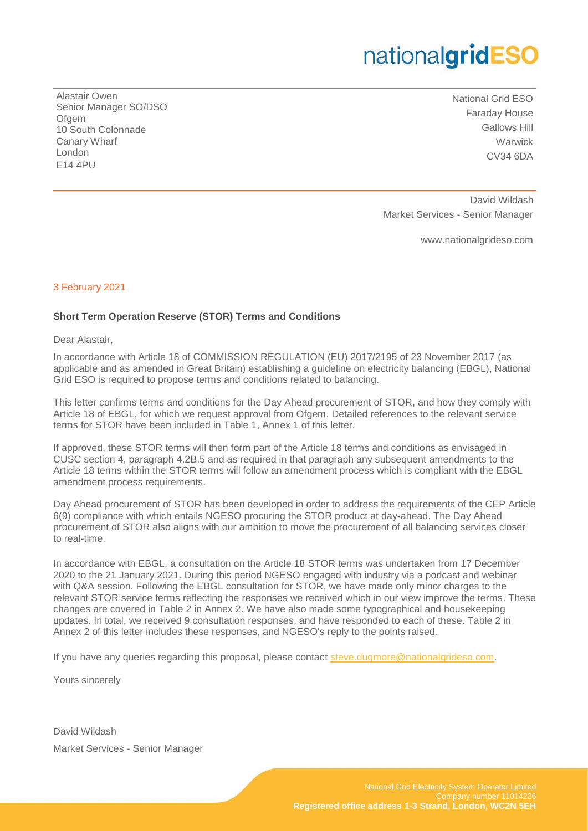Alastair Owen Senior Manager SO/DSO Ofgem 10 South Colonnade Canary Wharf London E14 4PU

National Grid ESO Faraday House Gallows Hill **Warwick** CV34 6DA

 David Wildash Market Services - Senior Manager

www.nationalgrideso.com

#### 3 February 2021

#### **Short Term Operation Reserve (STOR) Terms and Conditions**

Dear Alastair,

In accordance with Article 18 of COMMISSION REGULATION (EU) 2017/2195 of 23 November 2017 (as applicable and as amended in Great Britain) establishing a guideline on electricity balancing (EBGL), National Grid ESO is required to propose terms and conditions related to balancing.

This letter confirms terms and conditions for the Day Ahead procurement of STOR, and how they comply with Article 18 of EBGL, for which we request approval from Ofgem. Detailed references to the relevant service terms for STOR have been included in Table 1, Annex 1 of this letter.

If approved, these STOR terms will then form part of the Article 18 terms and conditions as envisaged in CUSC section 4, paragraph 4.2B.5 and as required in that paragraph any subsequent amendments to the Article 18 terms within the STOR terms will follow an amendment process which is compliant with the EBGL amendment process requirements.

Day Ahead procurement of STOR has been developed in order to address the requirements of the CEP Article 6(9) compliance with which entails NGESO procuring the STOR product at day-ahead. The Day Ahead procurement of STOR also aligns with our ambition to move the procurement of all balancing services closer to real-time.

In accordance with EBGL, a consultation on the Article 18 STOR terms was undertaken from 17 December 2020 to the 21 January 2021. During this period NGESO engaged with industry via a podcast and webinar with Q&A session. Following the EBGL consultation for STOR, we have made only minor charges to the relevant STOR service terms reflecting the responses we received which in our view improve the terms. These changes are covered in Table 2 in Annex 2. We have also made some typographical and housekeeping updates. In total, we received 9 consultation responses, and have responded to each of these. Table 2 in Annex 2 of this letter includes these responses, and NGESO's reply to the points raised.

If you have any queries regarding this proposal, please contact [steve.dugmore@nationalgrideso.com.](mailto:steve.dugmore@nationalgrideso.com)

Yours sincerely

David Wildash Market Services - Senior Manager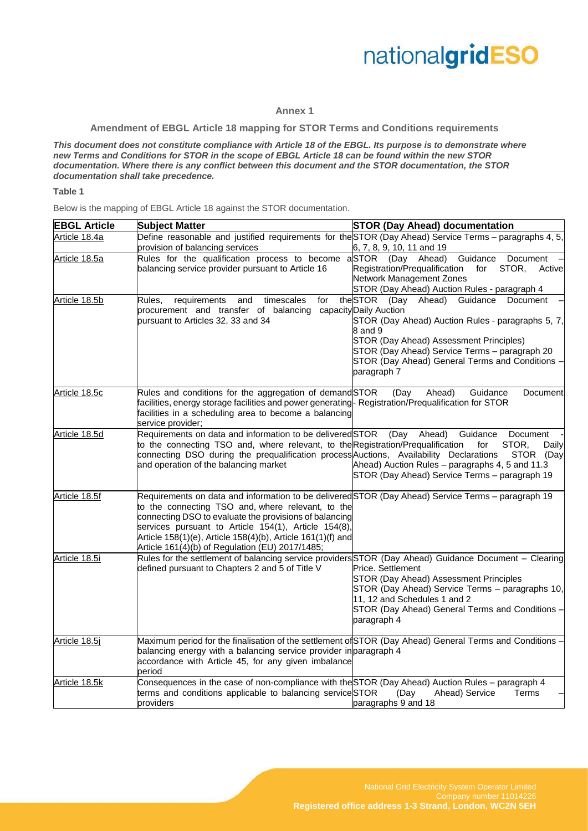#### **Annex 1**

**Amendment of EBGL Article 18 mapping for STOR Terms and Conditions requirements**

*This document does not constitute compliance with Article 18 of the EBGL. Its purpose is to demonstrate where new Terms and Conditions for STOR in the scope of EBGL Article 18 can be found within the new STOR documentation. Where there is any conflict between this document and the STOR documentation, the STOR documentation shall take precedence.*

#### **Table 1**

Below is the mapping of EBGL Article 18 against the STOR documentation.

| <b>EBGL Article</b> | <b>Subject Matter</b>                                                                                                                                                                                                                                                                                                                                                                       | <b>STOR (Day Ahead) documentation</b>                                                                                                                                                                                                                                                                     |
|---------------------|---------------------------------------------------------------------------------------------------------------------------------------------------------------------------------------------------------------------------------------------------------------------------------------------------------------------------------------------------------------------------------------------|-----------------------------------------------------------------------------------------------------------------------------------------------------------------------------------------------------------------------------------------------------------------------------------------------------------|
| Article 18.4a       | Define reasonable and justified requirements for the STOR (Day Ahead) Service Terms – paragraphs 4, 5,<br>provision of balancing services                                                                                                                                                                                                                                                   | 6, 7, 8, 9, 10, 11 and 19                                                                                                                                                                                                                                                                                 |
| Article 18.5a       | Rules for the qualification process to become<br>balancing service provider pursuant to Article 16                                                                                                                                                                                                                                                                                          | aSTOR (Day Ahead)<br>Guidance<br>Document<br>Registration/Prequalification<br>STOR,<br>for<br>Active<br>Network Management Zones<br>STOR (Day Ahead) Auction Rules - paragraph 4                                                                                                                          |
| Article 18.5b       | Rules,<br>requirements<br>timescales<br>for<br>and<br>procurement and transfer of balancing<br>pursuant to Articles 32, 33 and 34                                                                                                                                                                                                                                                           | Ahead)<br>Guidance<br>theSTOR<br>(Day<br>Document<br>capacity Daily Auction<br>STOR (Day Ahead) Auction Rules - paragraphs 5, 7,<br>8 and 9<br>STOR (Day Ahead) Assessment Principles)<br>STOR (Day Ahead) Service Terms - paragraph 20<br>STOR (Day Ahead) General Terms and Conditions -<br>paragraph 7 |
| Article 18.5c       | Rules and conditions for the aggregation of demandSTOR<br>facilities, energy storage facilities and power generating- Registration/Prequalification for STOR<br>facilities in a scheduling area to become a balancing<br>service provider;                                                                                                                                                  | Ahead)<br>Guidance<br>(Day<br>Document                                                                                                                                                                                                                                                                    |
| Article 18.5d       | Requirements on data and information to be deliveredSTOR<br>to the connecting TSO and, where relevant, to the Registration/Prequalification<br>connecting DSO during the prequalification process Auctions, Availability Declarations<br>and operation of the balancing market                                                                                                              | (Day<br>Ahead)<br>Guidance<br>Document<br>for<br>STOR.<br>Daily<br>STOR (Day<br>Ahead) Auction Rules - paragraphs 4, 5 and 11.3<br>STOR (Day Ahead) Service Terms - paragraph 19                                                                                                                          |
| Article 18.5f       | Requirements on data and information to be delivered STOR (Day Ahead) Service Terms - paragraph 19<br>to the connecting TSO and, where relevant, to the<br>connecting DSO to evaluate the provisions of balancing<br>services pursuant to Article 154(1), Article 154(8),<br>Article 158(1)(e), Article 158(4)(b), Article 161(1)(f) and<br>Article 161(4)(b) of Regulation (EU) 2017/1485; |                                                                                                                                                                                                                                                                                                           |
| Article 18.5i       | Rules for the settlement of balancing service providers STOR (Day Ahead) Guidance Document - Clearing<br>defined pursuant to Chapters 2 and 5 of Title V                                                                                                                                                                                                                                    | Price. Settlement<br><b>STOR (Day Ahead) Assessment Principles</b><br>STOR (Day Ahead) Service Terms - paragraphs 10,<br>11, 12 and Schedules 1 and 2<br>STOR (Day Ahead) General Terms and Conditions -<br>paragraph 4                                                                                   |
| Article 18.5j       | Maximum period for the finalisation of the settlement of STOR (Day Ahead) General Terms and Conditions -<br>balancing energy with a balancing service provider in paragraph 4<br>accordance with Article 45, for any given imbalance<br>period                                                                                                                                              |                                                                                                                                                                                                                                                                                                           |
| Article 18.5k       | Consequences in the case of non-compliance with the STOR (Day Ahead) Auction Rules - paragraph 4<br>terms and conditions applicable to balancing serviceSTOR<br>providers                                                                                                                                                                                                                   | Terms<br>(Day<br>Ahead) Service<br>paragraphs 9 and 18                                                                                                                                                                                                                                                    |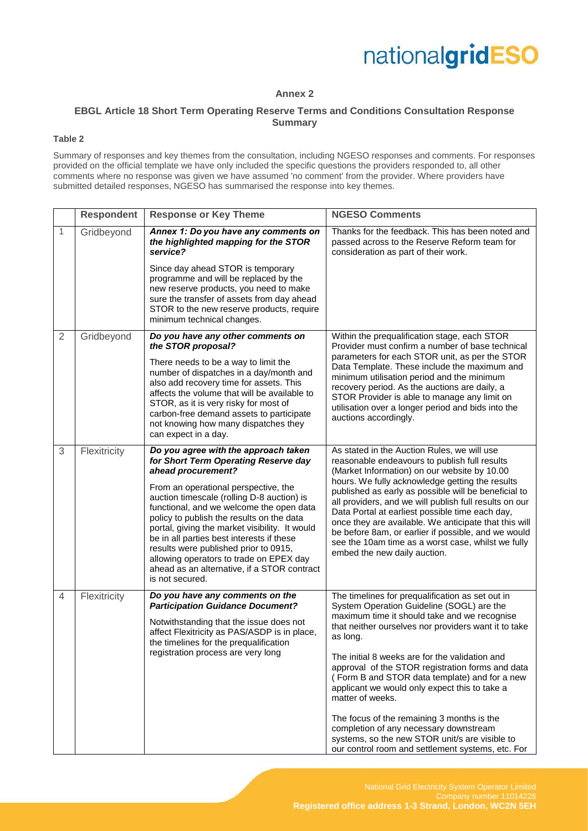

#### **Annex 2**

#### **EBGL Article 18 Short Term Operating Reserve Terms and Conditions Consultation Response Summary**

#### **Table 2**

Summary of responses and key themes from the consultation, including NGESO responses and comments. For responses provided on the official template we have only included the specific questions the providers responded to, all other comments where no response was given we have assumed 'no comment' from the provider. Where providers have submitted detailed responses, NGESO has summarised the response into key themes.

|                | <b>Respondent</b> | <b>Response or Key Theme</b>                                                                                                                                                                                                                                                                                                                                                                                                                                                                                                           | <b>NGESO Comments</b>                                                                                                                                                                                                                                                                                                                                                                                                                                                                                                                                                      |
|----------------|-------------------|----------------------------------------------------------------------------------------------------------------------------------------------------------------------------------------------------------------------------------------------------------------------------------------------------------------------------------------------------------------------------------------------------------------------------------------------------------------------------------------------------------------------------------------|----------------------------------------------------------------------------------------------------------------------------------------------------------------------------------------------------------------------------------------------------------------------------------------------------------------------------------------------------------------------------------------------------------------------------------------------------------------------------------------------------------------------------------------------------------------------------|
| $\mathbf{1}$   | Gridbeyond        | Annex 1: Do you have any comments on<br>the highlighted mapping for the STOR<br>service?                                                                                                                                                                                                                                                                                                                                                                                                                                               | Thanks for the feedback. This has been noted and<br>passed across to the Reserve Reform team for<br>consideration as part of their work.                                                                                                                                                                                                                                                                                                                                                                                                                                   |
|                |                   | Since day ahead STOR is temporary<br>programme and will be replaced by the<br>new reserve products, you need to make<br>sure the transfer of assets from day ahead<br>STOR to the new reserve products, require<br>minimum technical changes.                                                                                                                                                                                                                                                                                          |                                                                                                                                                                                                                                                                                                                                                                                                                                                                                                                                                                            |
| $\overline{2}$ | Gridbeyond        | Do you have any other comments on<br>the STOR proposal?<br>There needs to be a way to limit the<br>number of dispatches in a day/month and<br>also add recovery time for assets. This<br>affects the volume that will be available to<br>STOR, as it is very risky for most of<br>carbon-free demand assets to participate                                                                                                                                                                                                             | Within the prequalification stage, each STOR<br>Provider must confirm a number of base technical<br>parameters for each STOR unit, as per the STOR<br>Data Template. These include the maximum and<br>minimum utilisation period and the minimum<br>recovery period. As the auctions are daily, a<br>STOR Provider is able to manage any limit on<br>utilisation over a longer period and bids into the<br>auctions accordingly.                                                                                                                                           |
|                |                   | not knowing how many dispatches they<br>can expect in a day.                                                                                                                                                                                                                                                                                                                                                                                                                                                                           |                                                                                                                                                                                                                                                                                                                                                                                                                                                                                                                                                                            |
| 3              | Flexitricity      | Do you agree with the approach taken<br>for Short Term Operating Reserve day<br>ahead procurement?<br>From an operational perspective, the<br>auction timescale (rolling D-8 auction) is<br>functional, and we welcome the open data<br>policy to publish the results on the data<br>portal, giving the market visibility. It would<br>be in all parties best interests if these<br>results were published prior to 0915,<br>allowing operators to trade on EPEX day<br>ahead as an alternative, if a STOR contract<br>is not secured. | As stated in the Auction Rules, we will use<br>reasonable endeavours to publish full results<br>(Market Information) on our website by 10.00<br>hours. We fully acknowledge getting the results<br>published as early as possible will be beneficial to<br>all providers, and we will publish full results on our<br>Data Portal at earliest possible time each day,<br>once they are available. We anticipate that this will<br>be before 8am, or earlier if possible, and we would<br>see the 10am time as a worst case, whilst we fully<br>embed the new daily auction. |
| $\overline{4}$ | Flexitricity      | Do you have any comments on the<br><b>Participation Guidance Document?</b><br>Notwithstanding that the issue does not<br>affect Flexitricity as PAS/ASDP is in place,<br>the timelines for the prequalification                                                                                                                                                                                                                                                                                                                        | The timelines for prequalification as set out in<br>System Operation Guideline (SOGL) are the<br>maximum time it should take and we recognise<br>that neither ourselves nor providers want it to take<br>as long.                                                                                                                                                                                                                                                                                                                                                          |
|                |                   | registration process are very long                                                                                                                                                                                                                                                                                                                                                                                                                                                                                                     | The initial 8 weeks are for the validation and<br>approval of the STOR registration forms and data<br>(Form B and STOR data template) and for a new<br>applicant we would only expect this to take a<br>matter of weeks.                                                                                                                                                                                                                                                                                                                                                   |
|                |                   |                                                                                                                                                                                                                                                                                                                                                                                                                                                                                                                                        | The focus of the remaining 3 months is the<br>completion of any necessary downstream<br>systems, so the new STOR unit/s are visible to<br>our control room and settlement systems, etc. For                                                                                                                                                                                                                                                                                                                                                                                |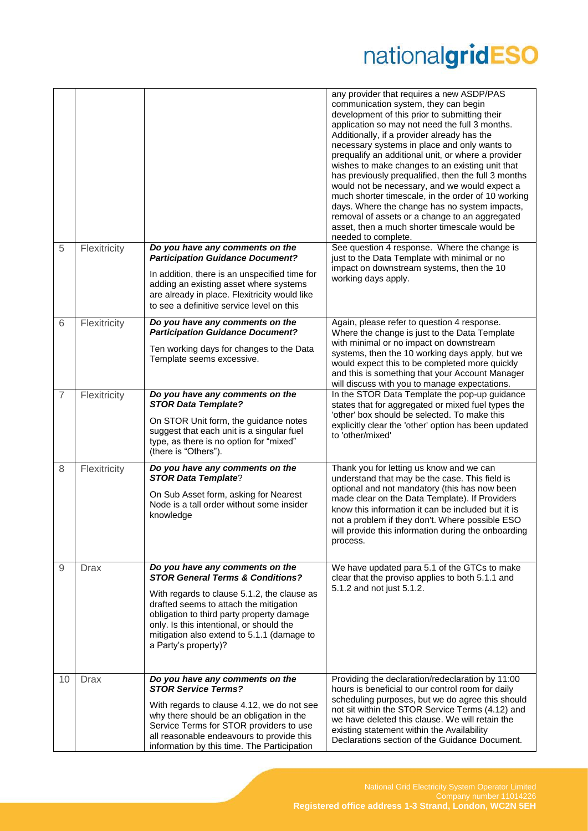|    |              |                                                                                                                                                                                                                                                                                                                                        | any provider that requires a new ASDP/PAS<br>communication system, they can begin<br>development of this prior to submitting their<br>application so may not need the full 3 months.<br>Additionally, if a provider already has the<br>necessary systems in place and only wants to<br>prequalify an additional unit, or where a provider<br>wishes to make changes to an existing unit that<br>has previously prequalified, then the full 3 months<br>would not be necessary, and we would expect a<br>much shorter timescale, in the order of 10 working<br>days. Where the change has no system impacts,<br>removal of assets or a change to an aggregated<br>asset, then a much shorter timescale would be<br>needed to complete. |
|----|--------------|----------------------------------------------------------------------------------------------------------------------------------------------------------------------------------------------------------------------------------------------------------------------------------------------------------------------------------------|---------------------------------------------------------------------------------------------------------------------------------------------------------------------------------------------------------------------------------------------------------------------------------------------------------------------------------------------------------------------------------------------------------------------------------------------------------------------------------------------------------------------------------------------------------------------------------------------------------------------------------------------------------------------------------------------------------------------------------------|
| 5  | Flexitricity | Do you have any comments on the<br><b>Participation Guidance Document?</b><br>In addition, there is an unspecified time for<br>adding an existing asset where systems<br>are already in place. Flexitricity would like<br>to see a definitive service level on this                                                                    | See question 4 response. Where the change is<br>just to the Data Template with minimal or no<br>impact on downstream systems, then the 10<br>working days apply.                                                                                                                                                                                                                                                                                                                                                                                                                                                                                                                                                                      |
| 6  | Flexitricity | Do you have any comments on the<br><b>Participation Guidance Document?</b><br>Ten working days for changes to the Data<br>Template seems excessive.                                                                                                                                                                                    | Again, please refer to question 4 response.<br>Where the change is just to the Data Template<br>with minimal or no impact on downstream<br>systems, then the 10 working days apply, but we<br>would expect this to be completed more quickly<br>and this is something that your Account Manager<br>will discuss with you to manage expectations.                                                                                                                                                                                                                                                                                                                                                                                      |
| 7  | Flexitricity | Do you have any comments on the<br><b>STOR Data Template?</b><br>On STOR Unit form, the guidance notes<br>suggest that each unit is a singular fuel<br>type, as there is no option for "mixed"<br>(there is "Others").                                                                                                                 | In the STOR Data Template the pop-up guidance<br>states that for aggregated or mixed fuel types the<br>'other' box should be selected. To make this<br>explicitly clear the 'other' option has been updated<br>to 'other/mixed'                                                                                                                                                                                                                                                                                                                                                                                                                                                                                                       |
| 8  | Flexitricity | Do you have any comments on the<br><b>STOR Data Template?</b><br>On Sub Asset form, asking for Nearest<br>Node is a tall order without some insider<br>knowledge                                                                                                                                                                       | Thank you for letting us know and we can<br>understand that may be the case. This field is<br>optional and not mandatory (this has now been<br>made clear on the Data Template). If Providers<br>know this information it can be included but it is<br>not a problem if they don't. Where possible ESO<br>will provide this information during the onboarding<br>process.                                                                                                                                                                                                                                                                                                                                                             |
| 9  | <b>Drax</b>  | Do you have any comments on the<br><b>STOR General Terms &amp; Conditions?</b><br>With regards to clause 5.1.2, the clause as<br>drafted seems to attach the mitigation<br>obligation to third party property damage<br>only. Is this intentional, or should the<br>mitigation also extend to 5.1.1 (damage to<br>a Party's property)? | We have updated para 5.1 of the GTCs to make<br>clear that the proviso applies to both 5.1.1 and<br>5.1.2 and not just 5.1.2.                                                                                                                                                                                                                                                                                                                                                                                                                                                                                                                                                                                                         |
| 10 | <b>Drax</b>  | Do you have any comments on the<br><b>STOR Service Terms?</b><br>With regards to clause 4.12, we do not see<br>why there should be an obligation in the<br>Service Terms for STOR providers to use<br>all reasonable endeavours to provide this<br>information by this time. The Participation                                         | Providing the declaration/redeclaration by 11:00<br>hours is beneficial to our control room for daily<br>scheduling purposes, but we do agree this should<br>not sit within the STOR Service Terms (4.12) and<br>we have deleted this clause. We will retain the<br>existing statement within the Availability<br>Declarations section of the Guidance Document.                                                                                                                                                                                                                                                                                                                                                                      |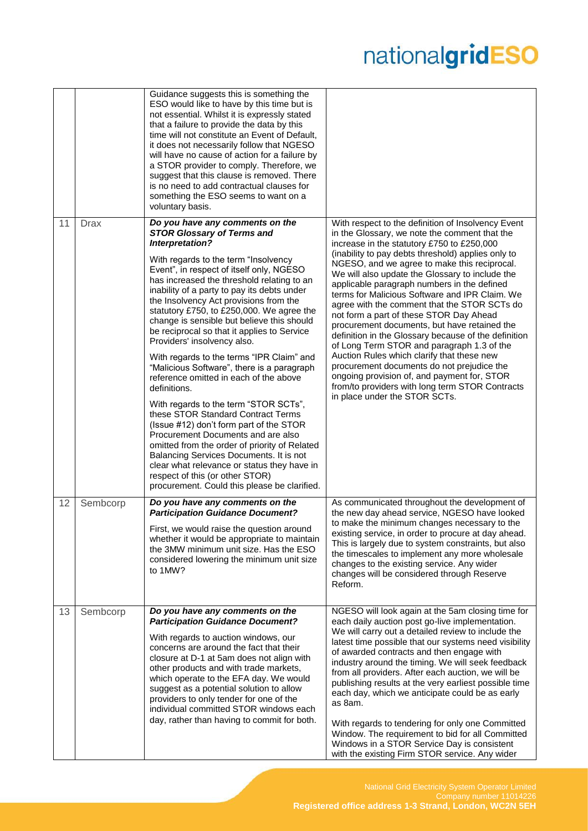|    |             | Guidance suggests this is something the<br>ESO would like to have by this time but is<br>not essential. Whilst it is expressly stated<br>that a failure to provide the data by this<br>time will not constitute an Event of Default,<br>it does not necessarily follow that NGESO<br>will have no cause of action for a failure by<br>a STOR provider to comply. Therefore, we<br>suggest that this clause is removed. There<br>is no need to add contractual clauses for<br>something the ESO seems to want on a<br>voluntary basis.                                                                                                                                                                                                                                                                                                                                                                                                                                                                                                          |                                                                                                                                                                                                                                                                                                                                                                                                                                                                                                                                                                                                                                                                                                                                                                                                                                                                                             |
|----|-------------|------------------------------------------------------------------------------------------------------------------------------------------------------------------------------------------------------------------------------------------------------------------------------------------------------------------------------------------------------------------------------------------------------------------------------------------------------------------------------------------------------------------------------------------------------------------------------------------------------------------------------------------------------------------------------------------------------------------------------------------------------------------------------------------------------------------------------------------------------------------------------------------------------------------------------------------------------------------------------------------------------------------------------------------------|---------------------------------------------------------------------------------------------------------------------------------------------------------------------------------------------------------------------------------------------------------------------------------------------------------------------------------------------------------------------------------------------------------------------------------------------------------------------------------------------------------------------------------------------------------------------------------------------------------------------------------------------------------------------------------------------------------------------------------------------------------------------------------------------------------------------------------------------------------------------------------------------|
| 11 | <b>Drax</b> | Do you have any comments on the<br><b>STOR Glossary of Terms and</b><br>Interpretation?<br>With regards to the term "Insolvency<br>Event", in respect of itself only, NGESO<br>has increased the threshold relating to an<br>inability of a party to pay its debts under<br>the Insolvency Act provisions from the<br>statutory £750, to £250,000. We agree the<br>change is sensible but believe this should<br>be reciprocal so that it applies to Service<br>Providers' insolvency also.<br>With regards to the terms "IPR Claim" and<br>"Malicious Software", there is a paragraph<br>reference omitted in each of the above<br>definitions.<br>With regards to the term "STOR SCTs",<br>these STOR Standard Contract Terms<br>(Issue #12) don't form part of the STOR<br>Procurement Documents and are also<br>omitted from the order of priority of Related<br>Balancing Services Documents. It is not<br>clear what relevance or status they have in<br>respect of this (or other STOR)<br>procurement. Could this please be clarified. | With respect to the definition of Insolvency Event<br>in the Glossary, we note the comment that the<br>increase in the statutory £750 to £250,000<br>(inability to pay debts threshold) applies only to<br>NGESO, and we agree to make this reciprocal.<br>We will also update the Glossary to include the<br>applicable paragraph numbers in the defined<br>terms for Malicious Software and IPR Claim. We<br>agree with the comment that the STOR SCTs do<br>not form a part of these STOR Day Ahead<br>procurement documents, but have retained the<br>definition in the Glossary because of the definition<br>of Long Term STOR and paragraph 1.3 of the<br>Auction Rules which clarify that these new<br>procurement documents do not prejudice the<br>ongoing provision of, and payment for, STOR<br>from/to providers with long term STOR Contracts<br>in place under the STOR SCTs. |
| 12 | Sembcorp    | Do you have any comments on the<br><b>Participation Guidance Document?</b><br>First, we would raise the question around<br>whether it would be appropriate to maintain<br>the 3MW minimum unit size. Has the ESO<br>considered lowering the minimum unit size<br>to 1MW?                                                                                                                                                                                                                                                                                                                                                                                                                                                                                                                                                                                                                                                                                                                                                                       | As communicated throughout the development of<br>the new day ahead service, NGESO have looked<br>to make the minimum changes necessary to the<br>existing service, in order to procure at day ahead.<br>This is largely due to system constraints, but also<br>the timescales to implement any more wholesale<br>changes to the existing service. Any wider<br>changes will be considered through Reserve<br>Reform.                                                                                                                                                                                                                                                                                                                                                                                                                                                                        |
| 13 | Sembcorp    | Do you have any comments on the<br><b>Participation Guidance Document?</b><br>With regards to auction windows, our<br>concerns are around the fact that their<br>closure at D-1 at 5am does not align with<br>other products and with trade markets,<br>which operate to the EFA day. We would<br>suggest as a potential solution to allow<br>providers to only tender for one of the<br>individual committed STOR windows each<br>day, rather than having to commit for both.                                                                                                                                                                                                                                                                                                                                                                                                                                                                                                                                                                 | NGESO will look again at the 5am closing time for<br>each daily auction post go-live implementation.<br>We will carry out a detailed review to include the<br>latest time possible that our systems need visibility<br>of awarded contracts and then engage with<br>industry around the timing. We will seek feedback<br>from all providers. After each auction, we will be<br>publishing results at the very earliest possible time<br>each day, which we anticipate could be as early<br>as 8am.<br>With regards to tendering for only one Committed<br>Window. The requirement to bid for all Committed<br>Windows in a STOR Service Day is consistent<br>with the existing Firm STOR service. Any wider                                                                                                                                                                                 |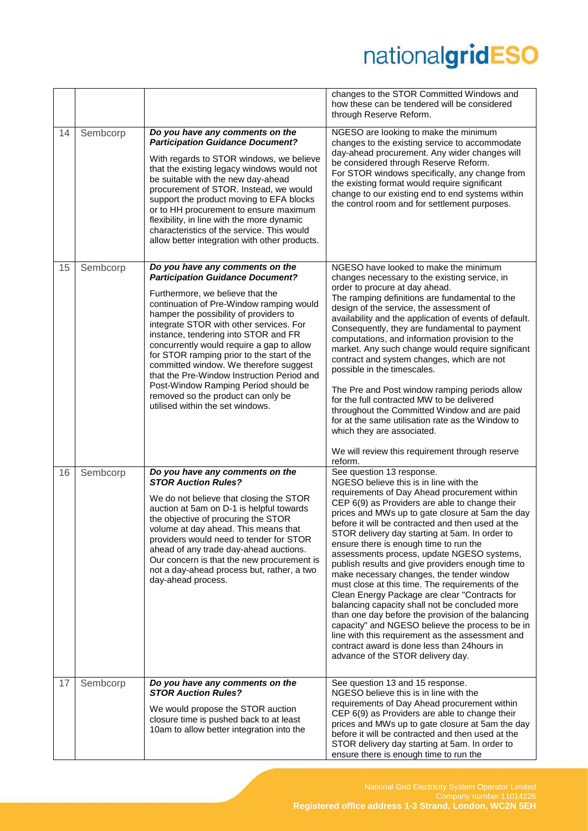|    |          |                                                                                                                                                                                                                                                                                                                                                                                                                                                                                                                                                                                              | changes to the STOR Committed Windows and<br>how these can be tendered will be considered<br>through Reserve Reform.                                                                                                                                                                                                                                                                                                                                                                                                                                                                                                                                                                                                                                                                                                                                                                                                                 |
|----|----------|----------------------------------------------------------------------------------------------------------------------------------------------------------------------------------------------------------------------------------------------------------------------------------------------------------------------------------------------------------------------------------------------------------------------------------------------------------------------------------------------------------------------------------------------------------------------------------------------|--------------------------------------------------------------------------------------------------------------------------------------------------------------------------------------------------------------------------------------------------------------------------------------------------------------------------------------------------------------------------------------------------------------------------------------------------------------------------------------------------------------------------------------------------------------------------------------------------------------------------------------------------------------------------------------------------------------------------------------------------------------------------------------------------------------------------------------------------------------------------------------------------------------------------------------|
| 14 | Sembcorp | Do you have any comments on the<br><b>Participation Guidance Document?</b><br>With regards to STOR windows, we believe<br>that the existing legacy windows would not<br>be suitable with the new day-ahead<br>procurement of STOR. Instead, we would<br>support the product moving to EFA blocks<br>or to HH procurement to ensure maximum<br>flexibility, in line with the more dynamic<br>characteristics of the service. This would<br>allow better integration with other products.                                                                                                      | NGESO are looking to make the minimum<br>changes to the existing service to accommodate<br>day-ahead procurement. Any wider changes will<br>be considered through Reserve Reform.<br>For STOR windows specifically, any change from<br>the existing format would require significant<br>change to our existing end to end systems within<br>the control room and for settlement purposes.                                                                                                                                                                                                                                                                                                                                                                                                                                                                                                                                            |
| 15 | Sembcorp | Do you have any comments on the<br><b>Participation Guidance Document?</b><br>Furthermore, we believe that the<br>continuation of Pre-Window ramping would<br>hamper the possibility of providers to<br>integrate STOR with other services. For<br>instance, tendering into STOR and FR<br>concurrently would require a gap to allow<br>for STOR ramping prior to the start of the<br>committed window. We therefore suggest<br>that the Pre-Window Instruction Period and<br>Post-Window Ramping Period should be<br>removed so the product can only be<br>utilised within the set windows. | NGESO have looked to make the minimum<br>changes necessary to the existing service, in<br>order to procure at day ahead.<br>The ramping definitions are fundamental to the<br>design of the service, the assessment of<br>availability and the application of events of default.<br>Consequently, they are fundamental to payment<br>computations, and information provision to the<br>market. Any such change would require significant<br>contract and system changes, which are not<br>possible in the timescales.<br>The Pre and Post window ramping periods allow<br>for the full contracted MW to be delivered<br>throughout the Committed Window and are paid<br>for at the same utilisation rate as the Window to<br>which they are associated.<br>We will review this requirement through reserve<br>reform.                                                                                                                |
| 16 | Sembcorp | Do you have any comments on the<br><b>STOR Auction Rules?</b><br>We do not believe that closing the STOR<br>auction at 5am on D-1 is helpful towards<br>the objective of procuring the STOR<br>volume at day ahead. This means that<br>providers would need to tender for STOR<br>ahead of any trade day-ahead auctions.<br>Our concern is that the new procurement is<br>not a day-ahead process but, rather, a two<br>day-ahead process.                                                                                                                                                   | See question 13 response.<br>NGESO believe this is in line with the<br>requirements of Day Ahead procurement within<br>CEP 6(9) as Providers are able to change their<br>prices and MWs up to gate closure at 5am the day<br>before it will be contracted and then used at the<br>STOR delivery day starting at 5am. In order to<br>ensure there is enough time to run the<br>assessments process, update NGESO systems,<br>publish results and give providers enough time to<br>make necessary changes, the tender window<br>must close at this time. The requirements of the<br>Clean Energy Package are clear "Contracts for<br>balancing capacity shall not be concluded more<br>than one day before the provision of the balancing<br>capacity" and NGESO believe the process to be in<br>line with this requirement as the assessment and<br>contract award is done less than 24 hours in<br>advance of the STOR delivery day. |
| 17 | Sembcorp | Do you have any comments on the<br><b>STOR Auction Rules?</b><br>We would propose the STOR auction<br>closure time is pushed back to at least<br>10am to allow better integration into the                                                                                                                                                                                                                                                                                                                                                                                                   | See question 13 and 15 response.<br>NGESO believe this is in line with the<br>requirements of Day Ahead procurement within<br>CEP 6(9) as Providers are able to change their<br>prices and MWs up to gate closure at 5am the day<br>before it will be contracted and then used at the<br>STOR delivery day starting at 5am. In order to<br>ensure there is enough time to run the                                                                                                                                                                                                                                                                                                                                                                                                                                                                                                                                                    |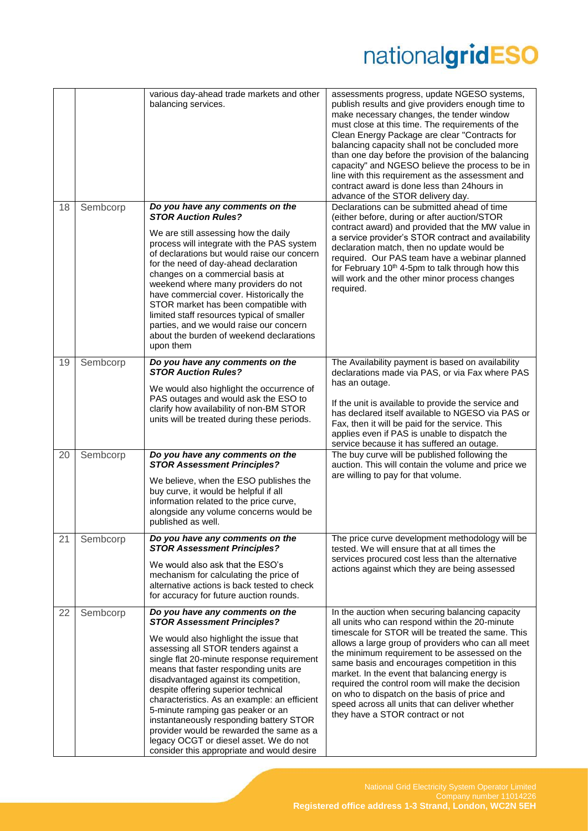|    |          | various day-ahead trade markets and other<br>balancing services.                                                                                                                                                                                                                                                                                                                                                                                                                                                                                                                                     | assessments progress, update NGESO systems,<br>publish results and give providers enough time to<br>make necessary changes, the tender window<br>must close at this time. The requirements of the<br>Clean Energy Package are clear "Contracts for<br>balancing capacity shall not be concluded more<br>than one day before the provision of the balancing<br>capacity" and NGESO believe the process to be in<br>line with this requirement as the assessment and<br>contract award is done less than 24hours in<br>advance of the STOR delivery day.     |
|----|----------|------------------------------------------------------------------------------------------------------------------------------------------------------------------------------------------------------------------------------------------------------------------------------------------------------------------------------------------------------------------------------------------------------------------------------------------------------------------------------------------------------------------------------------------------------------------------------------------------------|------------------------------------------------------------------------------------------------------------------------------------------------------------------------------------------------------------------------------------------------------------------------------------------------------------------------------------------------------------------------------------------------------------------------------------------------------------------------------------------------------------------------------------------------------------|
| 18 | Sembcorp | Do you have any comments on the<br><b>STOR Auction Rules?</b><br>We are still assessing how the daily<br>process will integrate with the PAS system<br>of declarations but would raise our concern<br>for the need of day-ahead declaration<br>changes on a commercial basis at<br>weekend where many providers do not<br>have commercial cover. Historically the<br>STOR market has been compatible with<br>limited staff resources typical of smaller<br>parties, and we would raise our concern<br>about the burden of weekend declarations<br>upon them                                          | Declarations can be submitted ahead of time<br>(either before, during or after auction/STOR<br>contract award) and provided that the MW value in<br>a service provider's STOR contract and availability<br>declaration match, then no update would be<br>required. Our PAS team have a webinar planned<br>for February 10 <sup>th</sup> 4-5pm to talk through how this<br>will work and the other minor process changes<br>required.                                                                                                                       |
| 19 | Sembcorp | Do you have any comments on the<br><b>STOR Auction Rules?</b><br>We would also highlight the occurrence of<br>PAS outages and would ask the ESO to<br>clarify how availability of non-BM STOR<br>units will be treated during these periods.                                                                                                                                                                                                                                                                                                                                                         | The Availability payment is based on availability<br>declarations made via PAS, or via Fax where PAS<br>has an outage.<br>If the unit is available to provide the service and<br>has declared itself available to NGESO via PAS or<br>Fax, then it will be paid for the service. This<br>applies even if PAS is unable to dispatch the<br>service because it has suffered an outage.                                                                                                                                                                       |
| 20 | Sembcorp | Do you have any comments on the<br><b>STOR Assessment Principles?</b><br>We believe, when the ESO publishes the<br>buy curve, it would be helpful if all<br>information related to the price curve,<br>alongside any volume concerns would be<br>published as well.                                                                                                                                                                                                                                                                                                                                  | The buy curve will be published following the<br>auction. This will contain the volume and price we<br>are willing to pay for that volume.                                                                                                                                                                                                                                                                                                                                                                                                                 |
| 21 | Sembcorp | Do you have any comments on the<br><b>STOR Assessment Principles?</b><br>We would also ask that the ESO's<br>mechanism for calculating the price of<br>alternative actions is back tested to check<br>for accuracy for future auction rounds.                                                                                                                                                                                                                                                                                                                                                        | The price curve development methodology will be<br>tested. We will ensure that at all times the<br>services procured cost less than the alternative<br>actions against which they are being assessed                                                                                                                                                                                                                                                                                                                                                       |
| 22 | Sembcorp | Do you have any comments on the<br><b>STOR Assessment Principles?</b><br>We would also highlight the issue that<br>assessing all STOR tenders against a<br>single flat 20-minute response requirement<br>means that faster responding units are<br>disadvantaged against its competition,<br>despite offering superior technical<br>characteristics. As an example: an efficient<br>5-minute ramping gas peaker or an<br>instantaneously responding battery STOR<br>provider would be rewarded the same as a<br>legacy OCGT or diesel asset. We do not<br>consider this appropriate and would desire | In the auction when securing balancing capacity<br>all units who can respond within the 20-minute<br>timescale for STOR will be treated the same. This<br>allows a large group of providers who can all meet<br>the minimum requirement to be assessed on the<br>same basis and encourages competition in this<br>market. In the event that balancing energy is<br>required the control room will make the decision<br>on who to dispatch on the basis of price and<br>speed across all units that can deliver whether<br>they have a STOR contract or not |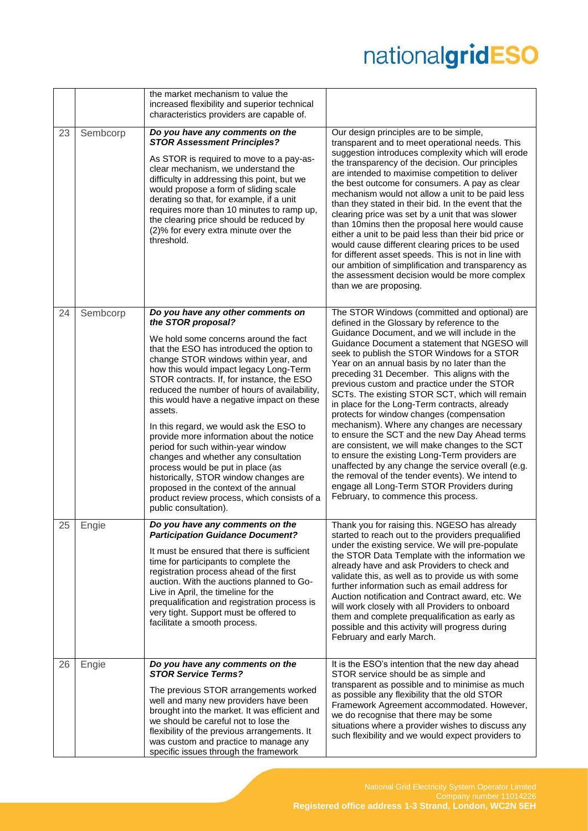|    |          | the market mechanism to value the<br>increased flexibility and superior technical<br>characteristics providers are capable of.                                                                                                                                                                                                                                                                                                                                                                                                                                                                                                                                                                                                                             |                                                                                                                                                                                                                                                                                                                                                                                                                                                                                                                                                                                                                                                                                                                                                                                                                                                                                                                                                |
|----|----------|------------------------------------------------------------------------------------------------------------------------------------------------------------------------------------------------------------------------------------------------------------------------------------------------------------------------------------------------------------------------------------------------------------------------------------------------------------------------------------------------------------------------------------------------------------------------------------------------------------------------------------------------------------------------------------------------------------------------------------------------------------|------------------------------------------------------------------------------------------------------------------------------------------------------------------------------------------------------------------------------------------------------------------------------------------------------------------------------------------------------------------------------------------------------------------------------------------------------------------------------------------------------------------------------------------------------------------------------------------------------------------------------------------------------------------------------------------------------------------------------------------------------------------------------------------------------------------------------------------------------------------------------------------------------------------------------------------------|
| 23 | Sembcorp | Do you have any comments on the<br><b>STOR Assessment Principles?</b><br>As STOR is required to move to a pay-as-<br>clear mechanism, we understand the<br>difficulty in addressing this point, but we<br>would propose a form of sliding scale<br>derating so that, for example, if a unit<br>requires more than 10 minutes to ramp up,<br>the clearing price should be reduced by<br>(2)% for every extra minute over the<br>threshold.                                                                                                                                                                                                                                                                                                                  | Our design principles are to be simple,<br>transparent and to meet operational needs. This<br>suggestion introduces complexity which will erode<br>the transparency of the decision. Our principles<br>are intended to maximise competition to deliver<br>the best outcome for consumers. A pay as clear<br>mechanism would not allow a unit to be paid less<br>than they stated in their bid. In the event that the<br>clearing price was set by a unit that was slower<br>than 10mins then the proposal here would cause<br>either a unit to be paid less than their bid price or<br>would cause different clearing prices to be used<br>for different asset speeds. This is not in line with<br>our ambition of simplification and transparency as<br>the assessment decision would be more complex<br>than we are proposing.                                                                                                               |
| 24 | Sembcorp | Do you have any other comments on<br>the STOR proposal?<br>We hold some concerns around the fact<br>that the ESO has introduced the option to<br>change STOR windows within year, and<br>how this would impact legacy Long-Term<br>STOR contracts. If, for instance, the ESO<br>reduced the number of hours of availability,<br>this would have a negative impact on these<br>assets.<br>In this regard, we would ask the ESO to<br>provide more information about the notice<br>period for such within-year window<br>changes and whether any consultation<br>process would be put in place (as<br>historically, STOR window changes are<br>proposed in the context of the annual<br>product review process, which consists of a<br>public consultation). | The STOR Windows (committed and optional) are<br>defined in the Glossary by reference to the<br>Guidance Document, and we will include in the<br>Guidance Document a statement that NGESO will<br>seek to publish the STOR Windows for a STOR<br>Year on an annual basis by no later than the<br>preceding 31 December. This aligns with the<br>previous custom and practice under the STOR<br>SCTs. The existing STOR SCT, which will remain<br>in place for the Long-Term contracts, already<br>protects for window changes (compensation<br>mechanism). Where any changes are necessary<br>to ensure the SCT and the new Day Ahead terms<br>are consistent, we will make changes to the SCT<br>to ensure the existing Long-Term providers are<br>unaffected by any change the service overall (e.g.<br>the removal of the tender events). We intend to<br>engage all Long-Term STOR Providers during<br>February, to commence this process. |
| 25 | Engie    | Do you have any comments on the<br><b>Participation Guidance Document?</b><br>It must be ensured that there is sufficient<br>time for participants to complete the<br>registration process ahead of the first<br>auction. With the auctions planned to Go-<br>Live in April, the timeline for the<br>prequalification and registration process is<br>very tight. Support must be offered to<br>facilitate a smooth process.                                                                                                                                                                                                                                                                                                                                | Thank you for raising this. NGESO has already<br>started to reach out to the providers prequalified<br>under the existing service. We will pre-populate<br>the STOR Data Template with the information we<br>already have and ask Providers to check and<br>validate this, as well as to provide us with some<br>further information such as email address for<br>Auction notification and Contract award, etc. We<br>will work closely with all Providers to onboard<br>them and complete prequalification as early as<br>possible and this activity will progress during<br>February and early March.                                                                                                                                                                                                                                                                                                                                        |
| 26 | Engie    | Do you have any comments on the<br><b>STOR Service Terms?</b><br>The previous STOR arrangements worked<br>well and many new providers have been<br>brought into the market. It was efficient and<br>we should be careful not to lose the<br>flexibility of the previous arrangements. It<br>was custom and practice to manage any<br>specific issues through the framework                                                                                                                                                                                                                                                                                                                                                                                 | It is the ESO's intention that the new day ahead<br>STOR service should be as simple and<br>transparent as possible and to minimise as much<br>as possible any flexibility that the old STOR<br>Framework Agreement accommodated. However,<br>we do recognise that there may be some<br>situations where a provider wishes to discuss any<br>such flexibility and we would expect providers to                                                                                                                                                                                                                                                                                                                                                                                                                                                                                                                                                 |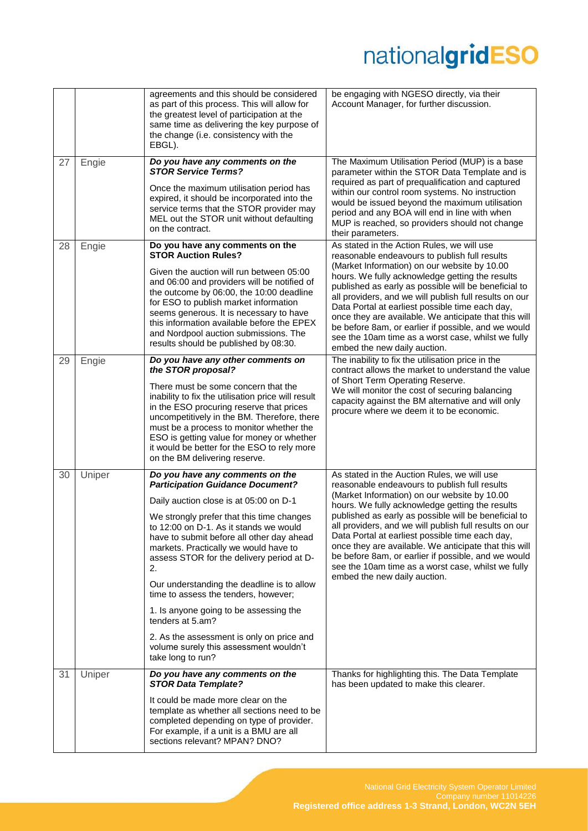|    |        | agreements and this should be considered<br>as part of this process. This will allow for<br>the greatest level of participation at the<br>same time as delivering the key purpose of<br>the change (i.e. consistency with the<br>EBGL).                                                                                                                                                                                                                                                                                                                                                                              | be engaging with NGESO directly, via their<br>Account Manager, for further discussion.                                                                                                                                                                                                                                                                                                                                                                                                                                                                                     |
|----|--------|----------------------------------------------------------------------------------------------------------------------------------------------------------------------------------------------------------------------------------------------------------------------------------------------------------------------------------------------------------------------------------------------------------------------------------------------------------------------------------------------------------------------------------------------------------------------------------------------------------------------|----------------------------------------------------------------------------------------------------------------------------------------------------------------------------------------------------------------------------------------------------------------------------------------------------------------------------------------------------------------------------------------------------------------------------------------------------------------------------------------------------------------------------------------------------------------------------|
| 27 | Engie  | Do you have any comments on the<br><b>STOR Service Terms?</b><br>Once the maximum utilisation period has<br>expired, it should be incorporated into the<br>service terms that the STOR provider may<br>MEL out the STOR unit without defaulting<br>on the contract.                                                                                                                                                                                                                                                                                                                                                  | The Maximum Utilisation Period (MUP) is a base<br>parameter within the STOR Data Template and is<br>required as part of prequalification and captured<br>within our control room systems. No instruction<br>would be issued beyond the maximum utilisation<br>period and any BOA will end in line with when<br>MUP is reached, so providers should not change<br>their parameters.                                                                                                                                                                                         |
| 28 | Engie  | Do you have any comments on the<br><b>STOR Auction Rules?</b><br>Given the auction will run between 05:00<br>and 06:00 and providers will be notified of<br>the outcome by 06:00, the 10:00 deadline<br>for ESO to publish market information<br>seems generous. It is necessary to have<br>this information available before the EPEX<br>and Nordpool auction submissions. The<br>results should be published by 08:30.                                                                                                                                                                                             | As stated in the Action Rules, we will use<br>reasonable endeavours to publish full results<br>(Market Information) on our website by 10.00<br>hours. We fully acknowledge getting the results<br>published as early as possible will be beneficial to<br>all providers, and we will publish full results on our<br>Data Portal at earliest possible time each day,<br>once they are available. We anticipate that this will<br>be before 8am, or earlier if possible, and we would<br>see the 10am time as a worst case, whilst we fully<br>embed the new daily auction.  |
| 29 | Engie  | Do you have any other comments on<br>the STOR proposal?<br>There must be some concern that the<br>inability to fix the utilisation price will result<br>in the ESO procuring reserve that prices<br>uncompetitively in the BM. Therefore, there<br>must be a process to monitor whether the<br>ESO is getting value for money or whether<br>it would be better for the ESO to rely more<br>on the BM delivering reserve.                                                                                                                                                                                             | The inability to fix the utilisation price in the<br>contract allows the market to understand the value<br>of Short Term Operating Reserve.<br>We will monitor the cost of securing balancing<br>capacity against the BM alternative and will only<br>procure where we deem it to be economic.                                                                                                                                                                                                                                                                             |
| 30 | Uniper | Do you have any comments on the<br><b>Participation Guidance Document?</b><br>Daily auction close is at 05:00 on D-1<br>We strongly prefer that this time changes<br>to 12:00 on D-1. As it stands we would<br>have to submit before all other day ahead<br>markets. Practically we would have to<br>assess STOR for the delivery period at D-<br>2.<br>Our understanding the deadline is to allow<br>time to assess the tenders, however;<br>1. Is anyone going to be assessing the<br>tenders at 5.am?<br>2. As the assessment is only on price and<br>volume surely this assessment wouldn't<br>take long to run? | As stated in the Auction Rules, we will use<br>reasonable endeavours to publish full results<br>(Market Information) on our website by 10.00<br>hours. We fully acknowledge getting the results<br>published as early as possible will be beneficial to<br>all providers, and we will publish full results on our<br>Data Portal at earliest possible time each day,<br>once they are available. We anticipate that this will<br>be before 8am, or earlier if possible, and we would<br>see the 10am time as a worst case, whilst we fully<br>embed the new daily auction. |
| 31 | Uniper | Do you have any comments on the<br><b>STOR Data Template?</b><br>It could be made more clear on the<br>template as whether all sections need to be<br>completed depending on type of provider.<br>For example, if a unit is a BMU are all<br>sections relevant? MPAN? DNO?                                                                                                                                                                                                                                                                                                                                           | Thanks for highlighting this. The Data Template<br>has been updated to make this clearer.                                                                                                                                                                                                                                                                                                                                                                                                                                                                                  |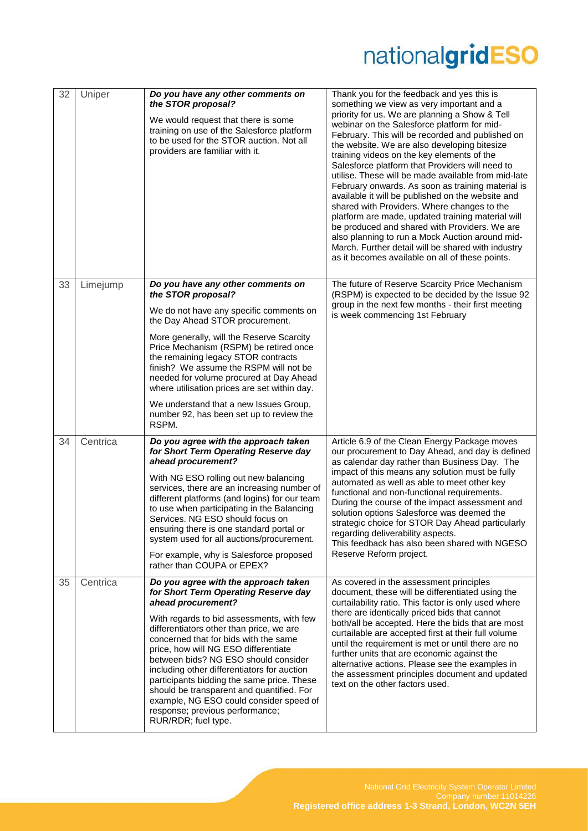| 32 | Uniper   | Do you have any other comments on<br>the STOR proposal?<br>We would request that there is some<br>training on use of the Salesforce platform<br>to be used for the STOR auction. Not all<br>providers are familiar with it.                                                                                                                                                                                                                                                                                                                                         | Thank you for the feedback and yes this is<br>something we view as very important and a<br>priority for us. We are planning a Show & Tell<br>webinar on the Salesforce platform for mid-<br>February. This will be recorded and published on<br>the website. We are also developing bitesize<br>training videos on the key elements of the<br>Salesforce platform that Providers will need to<br>utilise. These will be made available from mid-late<br>February onwards. As soon as training material is<br>available it will be published on the website and<br>shared with Providers. Where changes to the<br>platform are made, updated training material will<br>be produced and shared with Providers. We are<br>also planning to run a Mock Auction around mid-<br>March. Further detail will be shared with industry<br>as it becomes available on all of these points. |
|----|----------|---------------------------------------------------------------------------------------------------------------------------------------------------------------------------------------------------------------------------------------------------------------------------------------------------------------------------------------------------------------------------------------------------------------------------------------------------------------------------------------------------------------------------------------------------------------------|---------------------------------------------------------------------------------------------------------------------------------------------------------------------------------------------------------------------------------------------------------------------------------------------------------------------------------------------------------------------------------------------------------------------------------------------------------------------------------------------------------------------------------------------------------------------------------------------------------------------------------------------------------------------------------------------------------------------------------------------------------------------------------------------------------------------------------------------------------------------------------|
| 33 | Limejump | Do you have any other comments on<br>the STOR proposal?<br>We do not have any specific comments on<br>the Day Ahead STOR procurement.<br>More generally, will the Reserve Scarcity<br>Price Mechanism (RSPM) be retired once<br>the remaining legacy STOR contracts<br>finish? We assume the RSPM will not be<br>needed for volume procured at Day Ahead<br>where utilisation prices are set within day.<br>We understand that a new Issues Group,<br>number 92, has been set up to review the<br>RSPM.                                                             | The future of Reserve Scarcity Price Mechanism<br>(RSPM) is expected to be decided by the Issue 92<br>group in the next few months - their first meeting<br>is week commencing 1st February                                                                                                                                                                                                                                                                                                                                                                                                                                                                                                                                                                                                                                                                                     |
| 34 | Centrica | Do you agree with the approach taken<br>for Short Term Operating Reserve day<br>ahead procurement?<br>With NG ESO rolling out new balancing<br>services, there are an increasing number of<br>different platforms (and logins) for our team<br>to use when participating in the Balancing<br>Services. NG ESO should focus on<br>ensuring there is one standard portal or<br>system used for all auctions/procurement.<br>For example, why is Salesforce proposed<br>rather than COUPA or EPEX?                                                                     | Article 6.9 of the Clean Energy Package moves<br>our procurement to Day Ahead, and day is defined<br>as calendar day rather than Business Day. The<br>impact of this means any solution must be fully<br>automated as well as able to meet other key<br>functional and non-functional requirements.<br>During the course of the impact assessment and<br>solution options Salesforce was deemed the<br>strategic choice for STOR Day Ahead particularly<br>regarding deliverability aspects.<br>This feedback has also been shared with NGESO<br>Reserve Reform project.                                                                                                                                                                                                                                                                                                        |
| 35 | Centrica | Do you agree with the approach taken<br>for Short Term Operating Reserve day<br>ahead procurement?<br>With regards to bid assessments, with few<br>differentiators other than price, we are<br>concerned that for bids with the same<br>price, how will NG ESO differentiate<br>between bids? NG ESO should consider<br>including other differentiators for auction<br>participants bidding the same price. These<br>should be transparent and quantified. For<br>example, NG ESO could consider speed of<br>response; previous performance;<br>RUR/RDR; fuel type. | As covered in the assessment principles<br>document, these will be differentiated using the<br>curtailability ratio. This factor is only used where<br>there are identically priced bids that cannot<br>both/all be accepted. Here the bids that are most<br>curtailable are accepted first at their full volume<br>until the requirement is met or until there are no<br>further units that are economic against the<br>alternative actions. Please see the examples in<br>the assessment principles document and updated<br>text on the other factors used.                                                                                                                                                                                                                                                                                                                   |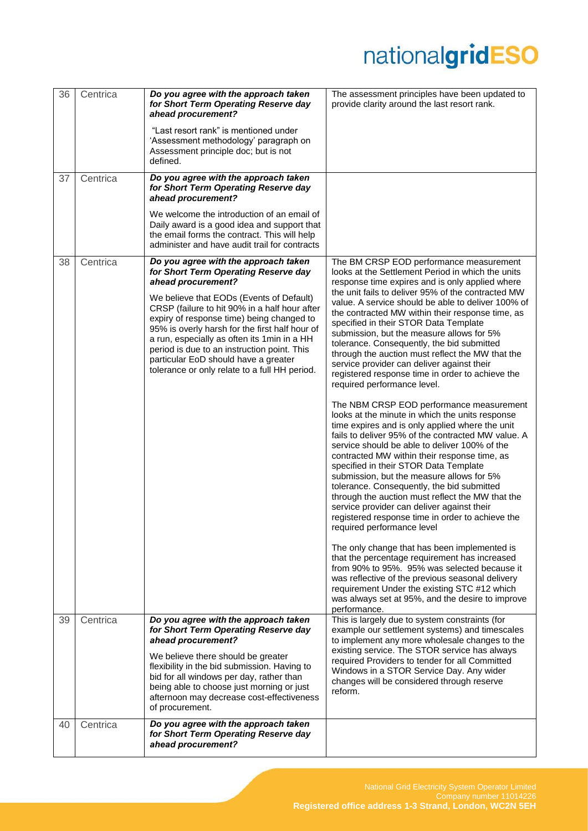| 36 | Centrica | Do you agree with the approach taken<br>for Short Term Operating Reserve day<br>ahead procurement?                                                                                                                                                                                                                                                                                                                                                                                     | The assessment principles have been updated to<br>provide clarity around the last resort rank.                                                                                                                                                                                                                                                                                                                                                                                                                                                                                                                                                                                                                                                                                             |
|----|----------|----------------------------------------------------------------------------------------------------------------------------------------------------------------------------------------------------------------------------------------------------------------------------------------------------------------------------------------------------------------------------------------------------------------------------------------------------------------------------------------|--------------------------------------------------------------------------------------------------------------------------------------------------------------------------------------------------------------------------------------------------------------------------------------------------------------------------------------------------------------------------------------------------------------------------------------------------------------------------------------------------------------------------------------------------------------------------------------------------------------------------------------------------------------------------------------------------------------------------------------------------------------------------------------------|
|    |          | "Last resort rank" is mentioned under<br>'Assessment methodology' paragraph on<br>Assessment principle doc; but is not<br>defined.                                                                                                                                                                                                                                                                                                                                                     |                                                                                                                                                                                                                                                                                                                                                                                                                                                                                                                                                                                                                                                                                                                                                                                            |
| 37 | Centrica | Do you agree with the approach taken<br>for Short Term Operating Reserve day<br>ahead procurement?                                                                                                                                                                                                                                                                                                                                                                                     |                                                                                                                                                                                                                                                                                                                                                                                                                                                                                                                                                                                                                                                                                                                                                                                            |
|    |          | We welcome the introduction of an email of<br>Daily award is a good idea and support that<br>the email forms the contract. This will help<br>administer and have audit trail for contracts                                                                                                                                                                                                                                                                                             |                                                                                                                                                                                                                                                                                                                                                                                                                                                                                                                                                                                                                                                                                                                                                                                            |
| 38 | Centrica | Do you agree with the approach taken<br>for Short Term Operating Reserve day<br>ahead procurement?<br>We believe that EODs (Events of Default)<br>CRSP (failure to hit 90% in a half hour after<br>expiry of response time) being changed to<br>95% is overly harsh for the first half hour of<br>a run, especially as often its 1 min in a HH<br>period is due to an instruction point. This<br>particular EoD should have a greater<br>tolerance or only relate to a full HH period. | The BM CRSP EOD performance measurement<br>looks at the Settlement Period in which the units<br>response time expires and is only applied where<br>the unit fails to deliver 95% of the contracted MW<br>value. A service should be able to deliver 100% of<br>the contracted MW within their response time, as<br>specified in their STOR Data Template<br>submission, but the measure allows for 5%<br>tolerance. Consequently, the bid submitted<br>through the auction must reflect the MW that the<br>service provider can deliver against their<br>registered response time in order to achieve the<br>required performance level.<br>The NBM CRSP EOD performance measurement<br>looks at the minute in which the units response<br>time expires and is only applied where the unit |
|    |          |                                                                                                                                                                                                                                                                                                                                                                                                                                                                                        | fails to deliver 95% of the contracted MW value. A<br>service should be able to deliver 100% of the<br>contracted MW within their response time, as<br>specified in their STOR Data Template<br>submission, but the measure allows for 5%<br>tolerance. Consequently, the bid submitted<br>through the auction must reflect the MW that the<br>service provider can deliver against their<br>registered response time in order to achieve the<br>required performance level<br>The only change that has been implemented is                                                                                                                                                                                                                                                                |
|    |          |                                                                                                                                                                                                                                                                                                                                                                                                                                                                                        | that the percentage requirement has increased<br>from 90% to 95%. 95% was selected because it<br>was reflective of the previous seasonal delivery<br>requirement Under the existing STC #12 which<br>was always set at 95%, and the desire to improve<br>performance.                                                                                                                                                                                                                                                                                                                                                                                                                                                                                                                      |
| 39 | Centrica | Do you agree with the approach taken<br>for Short Term Operating Reserve day<br>ahead procurement?<br>We believe there should be greater<br>flexibility in the bid submission. Having to<br>bid for all windows per day, rather than<br>being able to choose just morning or just<br>afternoon may decrease cost-effectiveness<br>of procurement.                                                                                                                                      | This is largely due to system constraints (for<br>example our settlement systems) and timescales<br>to implement any more wholesale changes to the<br>existing service. The STOR service has always<br>required Providers to tender for all Committed<br>Windows in a STOR Service Day. Any wider<br>changes will be considered through reserve<br>reform.                                                                                                                                                                                                                                                                                                                                                                                                                                 |
| 40 | Centrica | Do you agree with the approach taken<br>for Short Term Operating Reserve day<br>ahead procurement?                                                                                                                                                                                                                                                                                                                                                                                     |                                                                                                                                                                                                                                                                                                                                                                                                                                                                                                                                                                                                                                                                                                                                                                                            |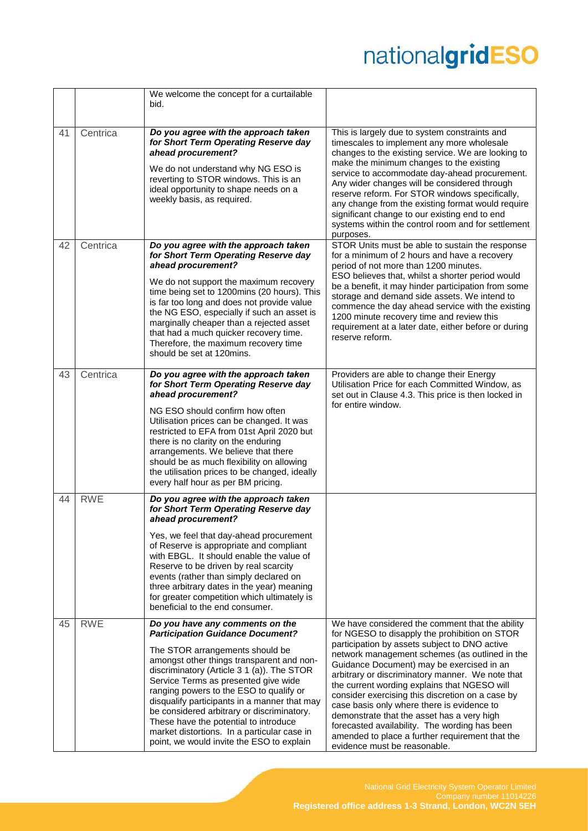|    |            | We welcome the concept for a curtailable                                                                                                                                                                                                                                                                                                                                                                                                                                                                                       |                                                                                                                                                                                                                                                                                                                                                                                                                                                                                                                                                                                                                                          |
|----|------------|--------------------------------------------------------------------------------------------------------------------------------------------------------------------------------------------------------------------------------------------------------------------------------------------------------------------------------------------------------------------------------------------------------------------------------------------------------------------------------------------------------------------------------|------------------------------------------------------------------------------------------------------------------------------------------------------------------------------------------------------------------------------------------------------------------------------------------------------------------------------------------------------------------------------------------------------------------------------------------------------------------------------------------------------------------------------------------------------------------------------------------------------------------------------------------|
|    |            | bid.                                                                                                                                                                                                                                                                                                                                                                                                                                                                                                                           |                                                                                                                                                                                                                                                                                                                                                                                                                                                                                                                                                                                                                                          |
| 41 | Centrica   | Do you agree with the approach taken<br>for Short Term Operating Reserve day<br>ahead procurement?<br>We do not understand why NG ESO is<br>reverting to STOR windows. This is an<br>ideal opportunity to shape needs on a<br>weekly basis, as required.                                                                                                                                                                                                                                                                       | This is largely due to system constraints and<br>timescales to implement any more wholesale<br>changes to the existing service. We are looking to<br>make the minimum changes to the existing<br>service to accommodate day-ahead procurement.<br>Any wider changes will be considered through<br>reserve reform. For STOR windows specifically,<br>any change from the existing format would require<br>significant change to our existing end to end<br>systems within the control room and for settlement<br>purposes.                                                                                                                |
| 42 | Centrica   | Do you agree with the approach taken<br>for Short Term Operating Reserve day<br>ahead procurement?<br>We do not support the maximum recovery<br>time being set to 1200mins (20 hours). This<br>is far too long and does not provide value<br>the NG ESO, especially if such an asset is<br>marginally cheaper than a rejected asset<br>that had a much quicker recovery time.<br>Therefore, the maximum recovery time<br>should be set at 120mins.                                                                             | STOR Units must be able to sustain the response<br>for a minimum of 2 hours and have a recovery<br>period of not more than 1200 minutes.<br>ESO believes that, whilst a shorter period would<br>be a benefit, it may hinder participation from some<br>storage and demand side assets. We intend to<br>commence the day ahead service with the existing<br>1200 minute recovery time and review this<br>requirement at a later date, either before or during<br>reserve reform.                                                                                                                                                          |
| 43 | Centrica   | Do you agree with the approach taken<br>for Short Term Operating Reserve day<br>ahead procurement?<br>NG ESO should confirm how often<br>Utilisation prices can be changed. It was<br>restricted to EFA from 01st April 2020 but<br>there is no clarity on the enduring<br>arrangements. We believe that there<br>should be as much flexibility on allowing<br>the utilisation prices to be changed, ideally<br>every half hour as per BM pricing.                                                                             | Providers are able to change their Energy<br>Utilisation Price for each Committed Window, as<br>set out in Clause 4.3. This price is then locked in<br>for entire window.                                                                                                                                                                                                                                                                                                                                                                                                                                                                |
| 44 | <b>RWE</b> | Do you agree with the approach taken<br>for Short Term Operating Reserve day<br>ahead procurement?<br>Yes, we feel that day-ahead procurement<br>of Reserve is appropriate and compliant<br>with EBGL. It should enable the value of<br>Reserve to be driven by real scarcity<br>events (rather than simply declared on<br>three arbitrary dates in the year) meaning<br>for greater competition which ultimately is<br>beneficial to the end consumer.                                                                        |                                                                                                                                                                                                                                                                                                                                                                                                                                                                                                                                                                                                                                          |
| 45 | <b>RWE</b> | Do you have any comments on the<br><b>Participation Guidance Document?</b><br>The STOR arrangements should be<br>amongst other things transparent and non-<br>discriminatory (Article 3 1 (a)). The STOR<br>Service Terms as presented give wide<br>ranging powers to the ESO to qualify or<br>disqualify participants in a manner that may<br>be considered arbitrary or discriminatory.<br>These have the potential to introduce<br>market distortions. In a particular case in<br>point, we would invite the ESO to explain | We have considered the comment that the ability<br>for NGESO to disapply the prohibition on STOR<br>participation by assets subject to DNO active<br>network management schemes (as outlined in the<br>Guidance Document) may be exercised in an<br>arbitrary or discriminatory manner. We note that<br>the current wording explains that NGESO will<br>consider exercising this discretion on a case by<br>case basis only where there is evidence to<br>demonstrate that the asset has a very high<br>forecasted availability. The wording has been<br>amended to place a further requirement that the<br>evidence must be reasonable. |